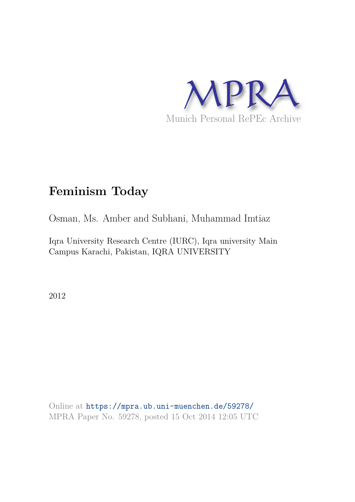

# **Feminism Today**

Osman, Ms. Amber and Subhani, Muhammad Imtiaz

Iqra University Research Centre (IURC), Iqra university Main Campus Karachi, Pakistan, IQRA UNIVERSITY

2012

Online at https://mpra.ub.uni-muenchen.de/59278/ MPRA Paper No. 59278, posted 15 Oct 2014 12:05 UTC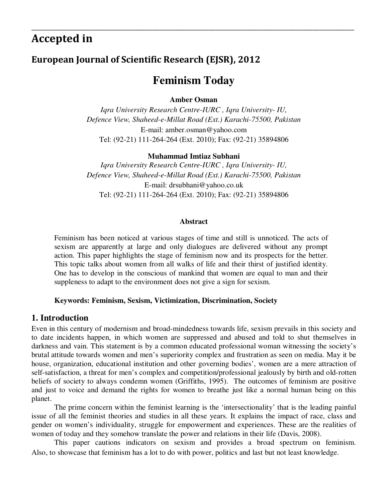# **Accepted in**

# **European Journal of Scientific Research (EJSR), 2012**

# **Feminism Today**

\_\_\_\_\_\_\_\_\_\_\_\_\_\_\_\_\_\_\_\_\_\_\_\_\_\_\_\_\_\_\_\_\_\_\_\_\_\_\_\_\_\_\_\_\_\_\_\_\_\_\_\_\_\_\_\_\_\_\_\_\_\_\_\_\_\_\_\_\_\_\_\_\_\_\_\_\_\_\_\_\_\_\_\_\_\_\_\_\_\_\_\_\_

**Amber Osman** 

*Iqra University Research Centre-IURC , Iqra University- IU, Defence View, Shaheed-e-Millat Road (Ext.) Karachi-75500, Pakistan* E-mail: amber.osman@yahoo.com Tel: (92-21) 111-264-264 (Ext. 2010); Fax: (92-21) 35894806

#### **Muhammad Imtiaz Subhani**

*Iqra University Research Centre-IURC , Iqra University- IU, Defence View, Shaheed-e-Millat Road (Ext.) Karachi-75500, Pakistan*  E-mail: drsubhani@yahoo.co.uk Tel: (92-21) 111-264-264 (Ext. 2010); Fax: (92-21) 35894806

#### **Abstract**

Feminism has been noticed at various stages of time and still is unnoticed. The acts of sexism are apparently at large and only dialogues are delivered without any prompt action. This paper highlights the stage of feminism now and its prospects for the better. This topic talks about women from all walks of life and their thirst of justified identity. One has to develop in the conscious of mankind that women are equal to man and their suppleness to adapt to the environment does not give a sign for sexism.

#### **Keywords: Feminism, Sexism, Victimization, Discrimination, Society**

### **1. Introduction**

Even in this century of modernism and broad-mindedness towards life, sexism prevails in this society and to date incidents happen, in which women are suppressed and abused and told to shut themselves in darkness and vain. This statement is by a common educated professional woman witnessing the society's brutal attitude towards women and men's superiority complex and frustration as seen on media. May it be house, organization, educational institution and other governing bodies', women are a mere attraction of self-satisfaction, a threat for men's complex and competition/professional jealously by birth and old-rotten beliefs of society to always condemn women (Griffiths, 1995). The outcomes of feminism are positive and just to voice and demand the rights for women to breathe just like a normal human being on this planet.

 The prime concern within the feminist learning is the 'intersectionality' that is the leading painful issue of all the feminist theories and studies in all these years. It explains the impact of race, class and gender on women's individuality, struggle for empowerment and experiences. These are the realities of women of today and they somehow translate the power and relations in their life (Davis, 2008).

 This paper cautions indicators on sexism and provides a broad spectrum on feminism. Also, to showcase that feminism has a lot to do with power, politics and last but not least knowledge.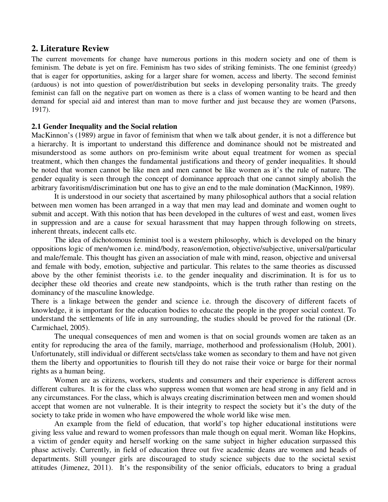### **2. Literature Review**

The current movements for change have numerous portions in this modern society and one of them is feminism. The debate is yet on fire. Feminism has two sides of striking feminists. The one feminist (greedy) that is eager for opportunities, asking for a larger share for women, access and liberty. The second feminist (arduous) is not into question of power/distribution but seeks in developing personality traits. The greedy feminist can fall on the negative part on women as there is a class of women wanting to be heard and then demand for special aid and interest than man to move further and just because they are women (Parsons, 1917).

#### **2.1 Gender Inequality and the Social relation**

MacKinnon's (1989) argue in favor of feminism that when we talk about gender, it is not a difference but a hierarchy. It is important to understand this difference and dominance should not be mistreated and misunderstood as some authors on pro-feminism write about equal treatment for women as special treatment, which then changes the fundamental justifications and theory of gender inequalities. It should be noted that women cannot be like men and men cannot be like women as it's the rule of nature. The gender equality is seen through the concept of dominance approach that one cannot simply abolish the arbitrary favoritism/discrimination but one has to give an end to the male domination (MacKinnon, 1989).

It is understood in our society that ascertained by many philosophical authors that a social relation between men women has been arranged in a way that men may lead and dominate and women ought to submit and accept. With this notion that has been developed in the cultures of west and east, women lives in suppression and are a cause for sexual harassment that may happen through following on streets, inherent threats, indecent calls etc.

The idea of dichotomous feminist tool is a western philosophy, which is developed on the binary oppositions logic of men/women i.e. mind/body, reason/emotion, objective/subjective, universal/particular and male/female. This thought has given an association of male with mind, reason, objective and universal and female with body, emotion, subjective and particular. This relates to the same theories as discussed above by the other feminist theorists i.e. to the gender inequality and discrimination. It is for us to decipher these old theories and create new standpoints, which is the truth rather than resting on the dominancy of the masculine knowledge.

There is a linkage between the gender and science i.e. through the discovery of different facets of knowledge, it is important for the education bodies to educate the people in the proper social context. To understand the settlements of life in any surrounding, the studies should be proved for the rational (Dr. Carmichael, 2005).

The unequal consequences of men and women is that on social grounds women are taken as an entity for reproducing the area of the family, marriage, motherhood and professionalism (Holub, 2001). Unfortunately, still individual or different sects/class take women as secondary to them and have not given them the liberty and opportunities to flourish till they do not raise their voice or barge for their normal rights as a human being.

Women are as citizens, workers, students and consumers and their experience is different across different cultures. It is for the class who suppress women that women are head strong in any field and in any circumstances. For the class, which is always creating discrimination between men and women should accept that women are not vulnerable. It is their integrity to respect the society but it's the duty of the society to take pride in women who have empowered the whole world like wise men.

 An example from the field of education, that world's top higher educational institutions were giving less value and reward to women professors than male though on equal merit. Woman like Hopkins, a victim of gender equity and herself working on the same subject in higher education surpassed this phase actively. Currently, in field of education three out five academic deans are women and heads of departments. Still younger girls are discouraged to study science subjects due to the societal sexist attitudes (Jimenez, 2011). It's the responsibility of the senior officials, educators to bring a gradual